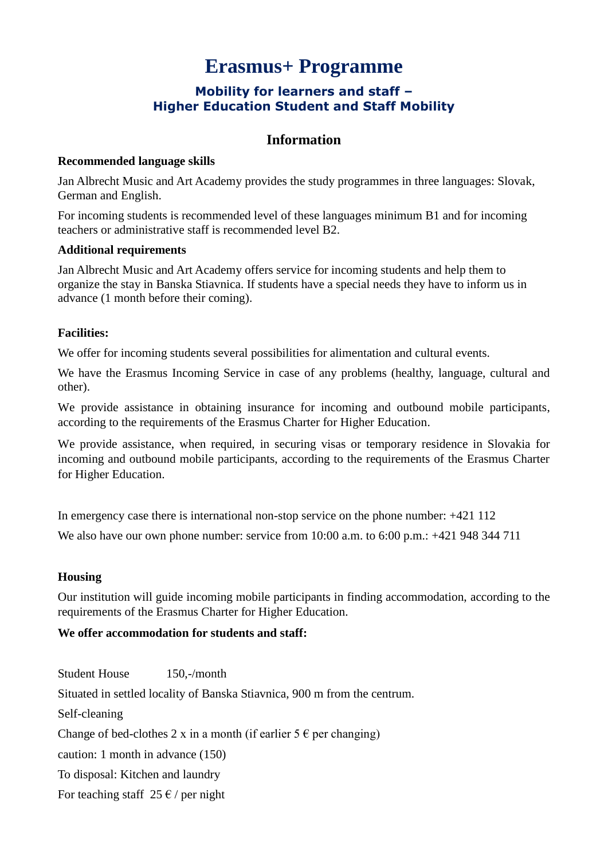# **Erasmus+ Programme**

# **Mobility for learners and staff – Higher Education Student and Staff Mobility**

# **Information**

## **Recommended language skills**

Jan Albrecht Music and Art Academy provides the study programmes in three languages: Slovak, German and English.

For incoming students is recommended level of these languages minimum B1 and for incoming teachers or administrative staff is recommended level B2.

#### **Additional requirements**

Jan Albrecht Music and Art Academy offers service for incoming students and help them to organize the stay in Banska Stiavnica. If students have a special needs they have to inform us in advance (1 month before their coming).

# **Facilities:**

We offer for incoming students several possibilities for alimentation and cultural events.

We have the Erasmus Incoming Service in case of any problems (healthy, language, cultural and other).

We provide assistance in obtaining insurance for incoming and outbound mobile participants, according to the requirements of the Erasmus Charter for Higher Education.

We provide assistance, when required, in securing visas or temporary residence in Slovakia for incoming and outbound mobile participants, according to the requirements of the Erasmus Charter for Higher Education.

In emergency case there is international non-stop service on the phone number: +421 112

We also have our own phone number: service from 10:00 a.m. to 6:00 p.m.: +421 948 344 711

## **Housing**

Our institution will guide incoming mobile participants in finding accommodation, according to the requirements of the Erasmus Charter for Higher Education.

## **We offer accommodation for students and staff:**

Student House 150,-/month Situated in settled locality of Banska Stiavnica, 900 m from the centrum. Self-cleaning Change of bed-clothes 2 x in a month (if earlier  $5 \in \text{per changing}$ ) caution: 1 month in advance (150) To disposal: Kitchen and laundry For teaching staff  $25 \in \ell$  per night